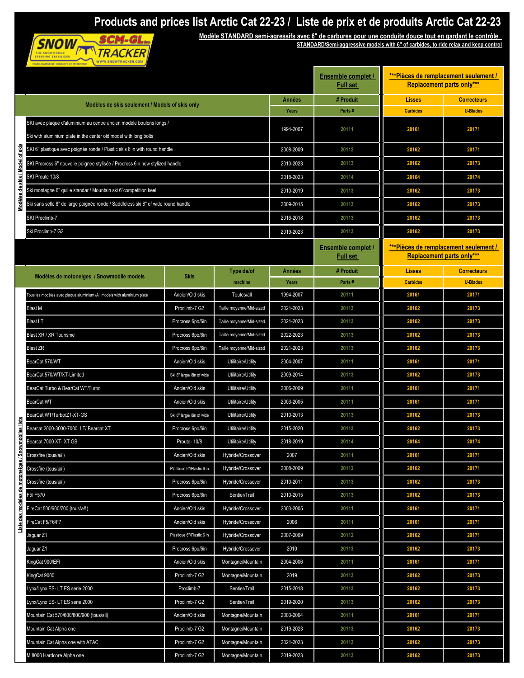## **Products and prices list Arctic Cat 22-23 / Liste de prix et de produits Arctic Cat 22-23**<br>Modèle STANDARD semi-agressifs avec 6" de carbures pour une conduite douce tout en gardant le contrôle<br>EXAMPARD/Semi-aggressive mo



**Modèle STANDARD semi-agressifs avec 6'' de carbures pour une conduite douce tout en gardant le contrôle STANDARD/Semi-aggressive models with 6'' of carbides, to ride relax and keep control**

|  |                                                                                                                                         |                           | <b>Ensemble complet /</b> | ***Pièces de remplacement seulement /               |                                              |                                                                           |                    |
|--|-----------------------------------------------------------------------------------------------------------------------------------------|---------------------------|---------------------------|-----------------------------------------------------|----------------------------------------------|---------------------------------------------------------------------------|--------------------|
|  |                                                                                                                                         |                           |                           | <b>Replacement parts only***</b><br><b>Full set</b> |                                              |                                                                           |                    |
|  | Modèles de skis seulement / Models of skis only                                                                                         |                           |                           | Années                                              | # Produit                                    | <b>Lisses</b>                                                             | <b>Correcteurs</b> |
|  |                                                                                                                                         |                           |                           |                                                     | Parts#                                       | <b>Carbides</b>                                                           | <b>U-Blades</b>    |
|  | SKI avec plaque d'aluminium au centre ancien modèle boulons longs /<br>Ski with aluminium plate in the center old model with long bolts |                           |                           | 1994-2007                                           | 20111                                        | 20161                                                                     | 20171              |
|  | SKI 6" plastique avec poignée ronde / Plastic skis 6 in with round handle                                                               |                           |                           | 2008-2009                                           | 20112                                        | 20162                                                                     | 20171              |
|  | SKI Procross 6" nouvelle poignée stylisée / Procross 6in new stylized handle                                                            |                           |                           | 2010-2023                                           | 20113                                        | 20162                                                                     | 20173              |
|  | SKI Proute 10/8                                                                                                                         |                           |                           | 2018-2023                                           | 20114                                        | 20164                                                                     | 20174              |
|  | Ski montagne 6" quille standar / Mountain ski 6"competition keel                                                                        |                           |                           | 2010-2019                                           | 20113                                        | 20162                                                                     | 20173              |
|  | Ski sans selle 8" de large poignée ronde / Saddleless ski 8" of wide round handle                                                       |                           |                           | 2009-2015                                           | 20113                                        | 20162                                                                     | 20173              |
|  | SKI Proclimb-7                                                                                                                          |                           |                           | 2016-2018                                           | 20113                                        | 20162                                                                     | 20173              |
|  | Ski Proclimb-7 G2                                                                                                                       |                           |                           | 2019-2023                                           | 20113                                        | 20162                                                                     | 20173              |
|  |                                                                                                                                         |                           |                           |                                                     | <b>Ensemble complet /</b><br><b>Full set</b> | ***Pièces de remplacement seulement /<br><b>Replacement parts only***</b> |                    |
|  |                                                                                                                                         |                           | Type de/of                | Années                                              | # Produit                                    | <b>Lisses</b>                                                             | <b>Correcteurs</b> |
|  | Modèles de motoneiges / Snowmobile models                                                                                               | <b>Skis</b>               | machine                   | Years                                               | Parts#                                       | <b>Carbides</b>                                                           | <b>U-Blades</b>    |
|  | Tous les modèles avec plaque aluminium /All models with aluminium plate                                                                 | Ancien/Old skis           | Toutes/all                | 1994-2007                                           | 20111                                        | 20161                                                                     | 20171              |
|  | <b>Blast M</b>                                                                                                                          | Proclimb-7 G2             | Taille moyenne/Mid-sized  | 2021-2023                                           | 20113                                        | 20162                                                                     | 20173              |
|  | <b>Blast LT</b>                                                                                                                         | Procross 6po/6in          | Taille moyenne/Mid-sized  | 2021-2023                                           | 20113                                        | 20162                                                                     | 20173              |
|  | Blast XR / XR Tourisme                                                                                                                  | Procross 6po/6in          | Taille moyenne/Mid-sized  | 2022-2023                                           | 20113                                        | 20162                                                                     | 20173              |
|  | <b>Blast ZR</b>                                                                                                                         | Procross 6po/6in          | Taille moyenne/Mid-sized  | 2021-2023                                           | 20113                                        | 20162                                                                     | 20173              |
|  | BearCat 570/WT                                                                                                                          | Ancien/Old skis           | Utilitaire/Utility        | 2004-2007                                           | 20111                                        | 20161                                                                     | 20171              |
|  | BearCat 570/WT/XT-Limited                                                                                                               | Ski 8" large/ 8in of wide | Utilitaire/Utility        | 2009-2014                                           | 20113                                        | 20162                                                                     | 20173              |
|  | BearCat Turbo & BearCat WT/Turbo                                                                                                        | Ancien/Old skis           | Utilitaire/Utility        | 2006-2009                                           | 20111                                        | 20161                                                                     | 20171              |
|  | <b>BearCat WT</b>                                                                                                                       | Ancien/Old skis           | Utilitaire/Utility        | 2003-2005                                           | 20111                                        | 20161                                                                     | 20171              |
|  | BearCat WT/Turbo/Z1-XT-GS                                                                                                               | Ski 8" large/ 8in of wide | Utilitaire/Utility        | 2010-2013                                           | 20113                                        | 20162                                                                     | 20173              |
|  | Bearcat 2000-3000-7000 LT/ Bearcat XT                                                                                                   | Procross 6po/6in          | Utilitaire/Utility        | 2015-2020                                           | 20113                                        | 20162                                                                     | 20173              |
|  | Bearcat 7000 XT- XT GS                                                                                                                  | Proute-10/8               | Utilitaire/Utility        | 2018-2019                                           | 20114                                        | 20164                                                                     | 20174              |
|  | Crossfire (tous/all)                                                                                                                    | Ancien/Old skis           | Hybride/Crossover         | 2007                                                | 20111                                        | 20161                                                                     | 20171              |
|  | Crossfire (tous/all)                                                                                                                    | Plastique 6"/Plastic 6 in | Hybride/Crossover         | 2008-2009                                           | 20112                                        | 20162                                                                     | 20171              |
|  | Crossfire (tous/all)                                                                                                                    | Procross 6po/6in          | Hybride/Crossover         | 2010-2011                                           | 20113                                        | 20162                                                                     | 20173              |
|  | F5/F570                                                                                                                                 | Procross 6po/6in          | Sentier/Trail             | 2010-2015                                           | 20113                                        | 20162                                                                     | 20173              |
|  | FireCat 500/600/700 (tous/all)                                                                                                          | Ancien/Old skis           | Hybride/Crossover         | 2003-2005                                           | 20111                                        | 20161                                                                     | 20171              |
|  | FireCat F5/F6/F7                                                                                                                        | Ancien/Old skis           | Hybride/Crossover         | 2006                                                | 20111                                        | 20161                                                                     | 20171              |
|  | laguar Z1                                                                                                                               | Plastique 6"/Plastic 6 in | Hybride/Crossover         | 2007-2009                                           | 20112                                        | 20162                                                                     | 20171              |
|  | laguar Z1                                                                                                                               | Procross 6po/6in          | Hybride/Crossover         | 2010                                                | 20113                                        | 20162                                                                     | 20173              |
|  | KingCat 900/EFI                                                                                                                         | Ancien/Old skis           | Montagne/Mountain         | 2004-2006                                           | 20111                                        | 20161                                                                     | 20171              |
|  | KingCat 9000                                                                                                                            | Proclimb-7 G2             | Montagne/Mountain         | 2019                                                | 20113                                        | 20162                                                                     | 20173              |
|  | Lynx/Lynx ES- LT ES serie 2000                                                                                                          | Proclimb-7                | Sentier/Trail             | 2015-2018                                           | 20113                                        | 20162                                                                     | 20173              |
|  | Lynx/Lynx ES-LT ES serie 2000                                                                                                           | Proclimb-7 G2             | Sentier/Trail             | 2019-2020                                           | 20113                                        | 20162                                                                     | 20173              |
|  | Mountain Cat 570/600/800/900 (tous/all)                                                                                                 | Ancien/Old skis           | Montagne/Mountain         | 2003-2004                                           | 20111                                        | 20161                                                                     | 20171              |
|  | Mountain Cat Alpha one                                                                                                                  | Proclimb-7 G2             | Montagne/Mountain         | 2019-2023                                           | 20113                                        | 20162                                                                     | 20173              |
|  | Mountain Cat Alpha one with ATAC                                                                                                        | Proclimb-7 G2             | Montagne/Mountain         | 2021-2023                                           | 20113                                        | 20162                                                                     | 20173              |
|  | M 8000 Hardcore Alpha one                                                                                                               | Proclimb-7 G2             | Montagne/Mountain         | 2019-2023                                           | 20113                                        | 20162                                                                     | 20173              |